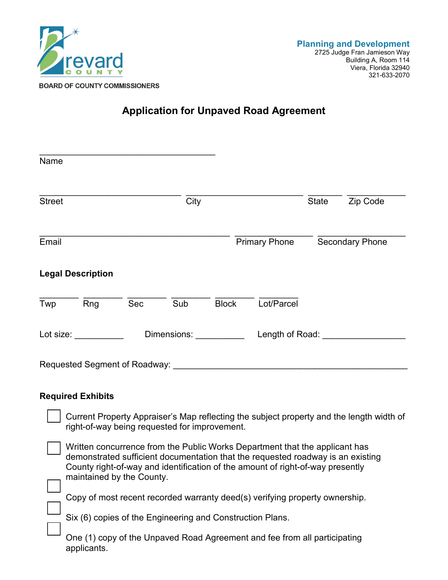

## **Application for Unpaved Road Agreement**

| Name          |                                                                                                                                                                                                                                |                         |      |              |                                                                                                                                                                                                                                                  |              |                                                                                          |
|---------------|--------------------------------------------------------------------------------------------------------------------------------------------------------------------------------------------------------------------------------|-------------------------|------|--------------|--------------------------------------------------------------------------------------------------------------------------------------------------------------------------------------------------------------------------------------------------|--------------|------------------------------------------------------------------------------------------|
| <b>Street</b> |                                                                                                                                                                                                                                |                         | City |              |                                                                                                                                                                                                                                                  | <b>State</b> | Zip Code                                                                                 |
| Email         |                                                                                                                                                                                                                                |                         |      |              | <b>Primary Phone</b>                                                                                                                                                                                                                             |              | <b>Secondary Phone</b>                                                                   |
|               | <b>Legal Description</b>                                                                                                                                                                                                       |                         |      |              |                                                                                                                                                                                                                                                  |              |                                                                                          |
| Twp           | Rng                                                                                                                                                                                                                            | Sec                     | Sub  | <b>Block</b> | Lot/Parcel                                                                                                                                                                                                                                       |              |                                                                                          |
|               | Lot size: the control of the control of the control of the control of the control of the control of the control of the control of the control of the control of the control of the control of the control of the control of th | Dimensions: Dimensions: |      |              | Length of Road:                                                                                                                                                                                                                                  |              |                                                                                          |
|               |                                                                                                                                                                                                                                |                         |      |              | Requested Segment of Roadway: Manual According to the Contract of Roadway:                                                                                                                                                                       |              |                                                                                          |
|               | <b>Required Exhibits</b>                                                                                                                                                                                                       |                         |      |              |                                                                                                                                                                                                                                                  |              |                                                                                          |
|               | right-of-way being requested for improvement.                                                                                                                                                                                  |                         |      |              |                                                                                                                                                                                                                                                  |              | Current Property Appraiser's Map reflecting the subject property and the length width of |
|               | maintained by the County.                                                                                                                                                                                                      |                         |      |              | Written concurrence from the Public Works Department that the applicant has<br>demonstrated sufficient documentation that the requested roadway is an existing<br>County right-of-way and identification of the amount of right-of-way presently |              |                                                                                          |

Copy of most recent recorded warranty deed(s) verifying property ownership.

Six (6) copies of the Engineering and Construction Plans.

One (1) copy of the Unpaved Road Agreement and fee from all participating applicants.